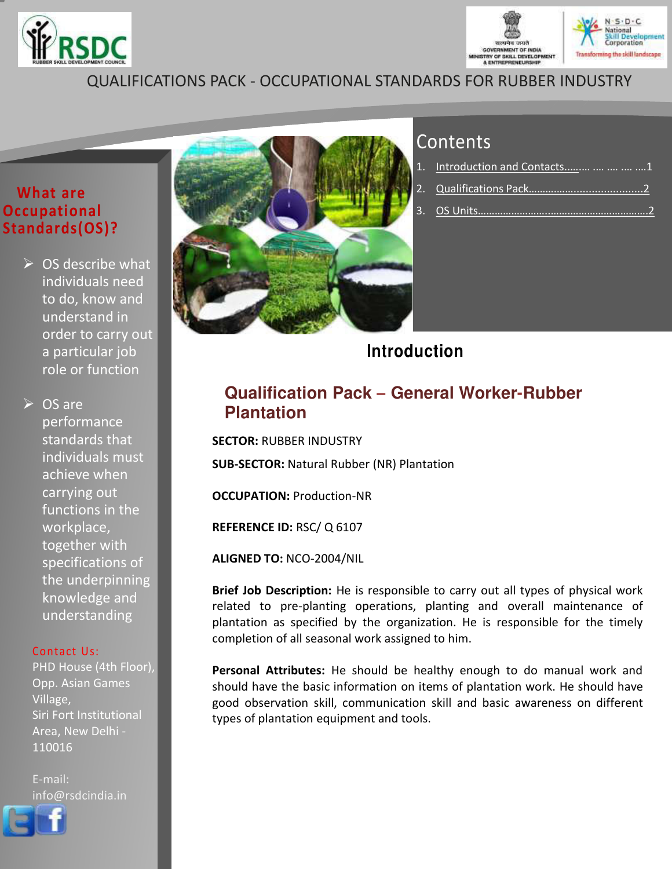



## QUALIFICATIONS PACK - OCCUPATIONAL STANDARDS FOR RUBBER INDUSTRY

#### **What are Occupational Standards(OS)?**

 $\triangleright$  OS describe what individuals need to do, know and understand in order to carry out a particular job role or function

 $\triangleright$  OS are performance standards that individuals must achieve when carrying out functions in the workplace, together with specifications of the underpinning knowledge and understanding

#### Contact Us:

PHD House (4th Floor), Opp. Asian Games Village, Siri Fort Institutional Area, New Delhi - 110016

<span id="page-0-0"></span>E-mail: info@rsdcindia.in



## **Contents**

| 1. Introduction and Contacts    1 |
|-----------------------------------|
|                                   |
|                                   |

## **Introduction**

### **Qualification Pack – General Worker-Rubber Plantation**

**SECTOR:** RUBBER INDUSTRY **SUB-SECTOR:** Natural Rubber (NR) Plantation

**OCCUPATION:** Production-NR

**REFERENCE ID:** RSC/ Q 6107

**ALIGNED TO:** NCO-2004/NIL

**Brief Job Description:** He is responsible to carry out all types of physical work related to pre-planting operations, planting and overall maintenance of plantation as specified by the organization. He is responsible for the timely completion of all seasonal work assigned to him.

**Personal Attributes:** He should be healthy enough to do manual work and should have the basic information on items of plantation work. He should have good observation skill, communication skill and basic awareness on different types of plantation equipment and tools.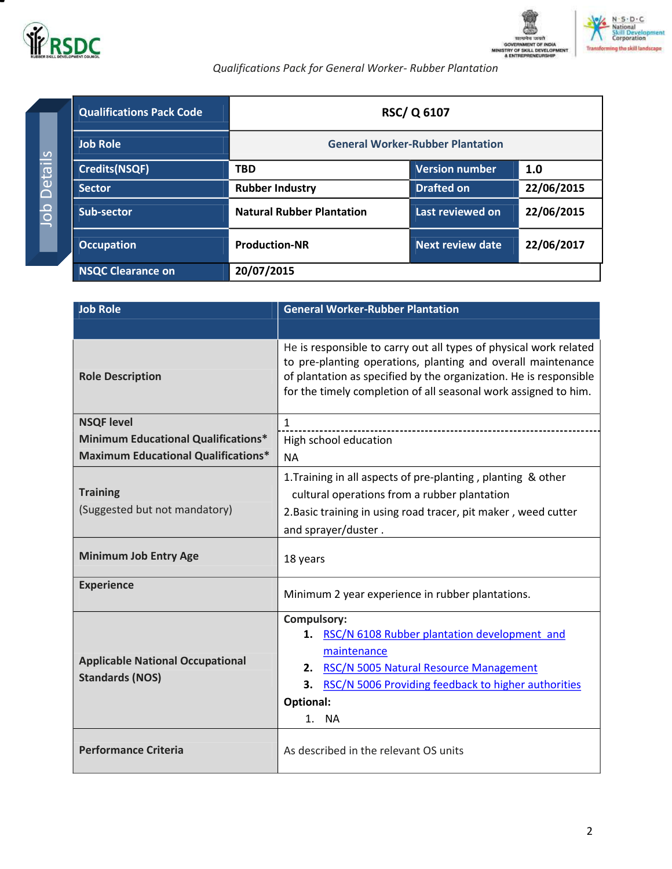



pment

#### *Qualifications Pack for General Worker- Rubber Plantation*

| <b>Qualifications Pack Code</b> | <b>RSC/Q 6107</b>                       |                       |            |
|---------------------------------|-----------------------------------------|-----------------------|------------|
| <b>Job Role</b>                 | <b>General Worker-Rubber Plantation</b> |                       |            |
| <b>Credits(NSQF)</b>            | <b>TBD</b>                              | <b>Version number</b> | 1.0        |
| <b>Sector</b>                   | <b>Rubber Industry</b>                  | <b>Drafted on</b>     | 22/06/2015 |
| Sub-sector                      | <b>Natural Rubber Plantation</b>        | Last reviewed on      | 22/06/2015 |
| <b>Occupation</b>               | <b>Production-NR</b>                    | Next review date      | 22/06/2017 |
| <b>NSQC Clearance on</b>        | 20/07/2015                              |                       |            |

<span id="page-1-0"></span>

| <b>Job Role</b>                            | <b>General Worker-Rubber Plantation</b>                                                                                                                                                                                                                                   |  |
|--------------------------------------------|---------------------------------------------------------------------------------------------------------------------------------------------------------------------------------------------------------------------------------------------------------------------------|--|
|                                            |                                                                                                                                                                                                                                                                           |  |
| <b>Role Description</b>                    | He is responsible to carry out all types of physical work related<br>to pre-planting operations, planting and overall maintenance<br>of plantation as specified by the organization. He is responsible<br>for the timely completion of all seasonal work assigned to him. |  |
| <b>NSQF level</b>                          | $\mathbf{1}$                                                                                                                                                                                                                                                              |  |
| <b>Minimum Educational Qualifications*</b> | High school education                                                                                                                                                                                                                                                     |  |
| <b>Maximum Educational Qualifications*</b> | <b>NA</b>                                                                                                                                                                                                                                                                 |  |
|                                            | 1. Training in all aspects of pre-planting, planting & other                                                                                                                                                                                                              |  |
| <b>Training</b>                            | cultural operations from a rubber plantation                                                                                                                                                                                                                              |  |
| (Suggested but not mandatory)              | 2. Basic training in using road tracer, pit maker, weed cutter                                                                                                                                                                                                            |  |
|                                            | and sprayer/duster.                                                                                                                                                                                                                                                       |  |
| <b>Minimum Job Entry Age</b>               | 18 years                                                                                                                                                                                                                                                                  |  |
| <b>Experience</b>                          | Minimum 2 year experience in rubber plantations.                                                                                                                                                                                                                          |  |
|                                            | Compulsory:                                                                                                                                                                                                                                                               |  |
|                                            | RSC/N 6108 Rubber plantation development and<br>1.                                                                                                                                                                                                                        |  |
| <b>Applicable National Occupational</b>    | maintenance                                                                                                                                                                                                                                                               |  |
| <b>Standards (NOS)</b>                     | 2. RSC/N 5005 Natural Resource Management                                                                                                                                                                                                                                 |  |
|                                            | RSC/N 5006 Providing feedback to higher authorities<br>3.                                                                                                                                                                                                                 |  |
|                                            | <b>Optional:</b>                                                                                                                                                                                                                                                          |  |
|                                            | <b>NA</b><br>1.                                                                                                                                                                                                                                                           |  |
| <b>Performance Criteria</b>                | As described in the relevant OS units                                                                                                                                                                                                                                     |  |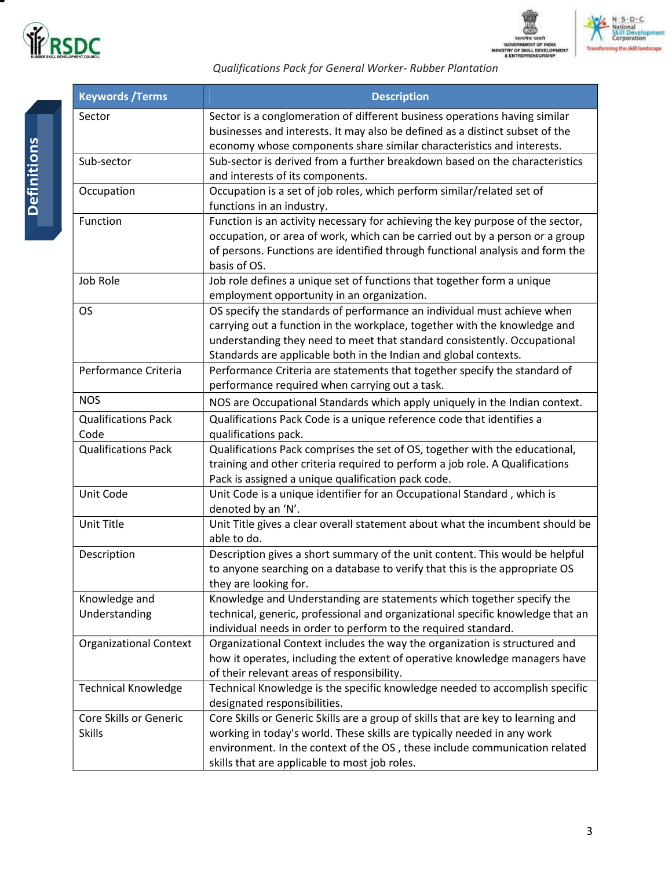





*Qualifications Pack for General Worker- Rubber Plantation*

| <b>Keywords / Terms</b>       | <b>Description</b>                                                                                                                                         |
|-------------------------------|------------------------------------------------------------------------------------------------------------------------------------------------------------|
| Sector                        | Sector is a conglomeration of different business operations having similar<br>businesses and interests. It may also be defined as a distinct subset of the |
|                               | economy whose components share similar characteristics and interests.                                                                                      |
| Sub-sector                    | Sub-sector is derived from a further breakdown based on the characteristics<br>and interests of its components.                                            |
| Occupation                    | Occupation is a set of job roles, which perform similar/related set of<br>functions in an industry.                                                        |
| Function                      | Function is an activity necessary for achieving the key purpose of the sector,                                                                             |
|                               | occupation, or area of work, which can be carried out by a person or a group                                                                               |
|                               | of persons. Functions are identified through functional analysis and form the                                                                              |
|                               | basis of OS.                                                                                                                                               |
| Job Role                      | Job role defines a unique set of functions that together form a unique                                                                                     |
|                               | employment opportunity in an organization.                                                                                                                 |
| <b>OS</b>                     | OS specify the standards of performance an individual must achieve when                                                                                    |
|                               | carrying out a function in the workplace, together with the knowledge and                                                                                  |
|                               | understanding they need to meet that standard consistently. Occupational                                                                                   |
|                               | Standards are applicable both in the Indian and global contexts.                                                                                           |
| Performance Criteria          | Performance Criteria are statements that together specify the standard of                                                                                  |
| <b>NOS</b>                    | performance required when carrying out a task.                                                                                                             |
|                               | NOS are Occupational Standards which apply uniquely in the Indian context.                                                                                 |
| <b>Qualifications Pack</b>    | Qualifications Pack Code is a unique reference code that identifies a                                                                                      |
| Code                          | qualifications pack.                                                                                                                                       |
| <b>Qualifications Pack</b>    | Qualifications Pack comprises the set of OS, together with the educational,                                                                                |
|                               | training and other criteria required to perform a job role. A Qualifications                                                                               |
|                               | Pack is assigned a unique qualification pack code.                                                                                                         |
| Unit Code                     | Unit Code is a unique identifier for an Occupational Standard, which is<br>denoted by an 'N'.                                                              |
| Unit Title                    | Unit Title gives a clear overall statement about what the incumbent should be                                                                              |
|                               | able to do.                                                                                                                                                |
| Description                   | Description gives a short summary of the unit content. This would be helpful                                                                               |
|                               | to anyone searching on a database to verify that this is the appropriate OS                                                                                |
|                               | they are looking for.                                                                                                                                      |
| Knowledge and                 | Knowledge and Understanding are statements which together specify the                                                                                      |
| Understanding                 | technical, generic, professional and organizational specific knowledge that an                                                                             |
|                               | individual needs in order to perform to the required standard.                                                                                             |
| <b>Organizational Context</b> | Organizational Context includes the way the organization is structured and                                                                                 |
|                               | how it operates, including the extent of operative knowledge managers have                                                                                 |
|                               | of their relevant areas of responsibility.                                                                                                                 |
| <b>Technical Knowledge</b>    | Technical Knowledge is the specific knowledge needed to accomplish specific<br>designated responsibilities.                                                |
| Core Skills or Generic        | Core Skills or Generic Skills are a group of skills that are key to learning and                                                                           |
| <b>Skills</b>                 | working in today's world. These skills are typically needed in any work                                                                                    |
|                               | environment. In the context of the OS, these include communication related                                                                                 |
|                               | skills that are applicable to most job roles.                                                                                                              |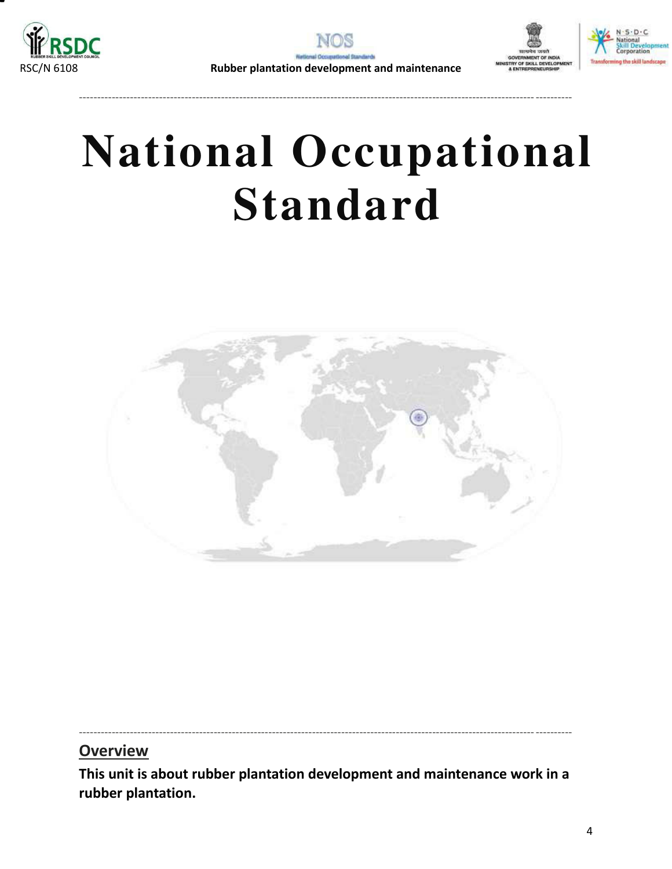







----------------------------------------------------------------------------------------------------------------------------- ----------

# **National Occupational Standard**



**Overview** 

<span id="page-3-0"></span>**This unit is about rubber plantation development and maintenance work in a rubber plantation.**

----------------------------------------------------------------------------------------------------------------------------- ----------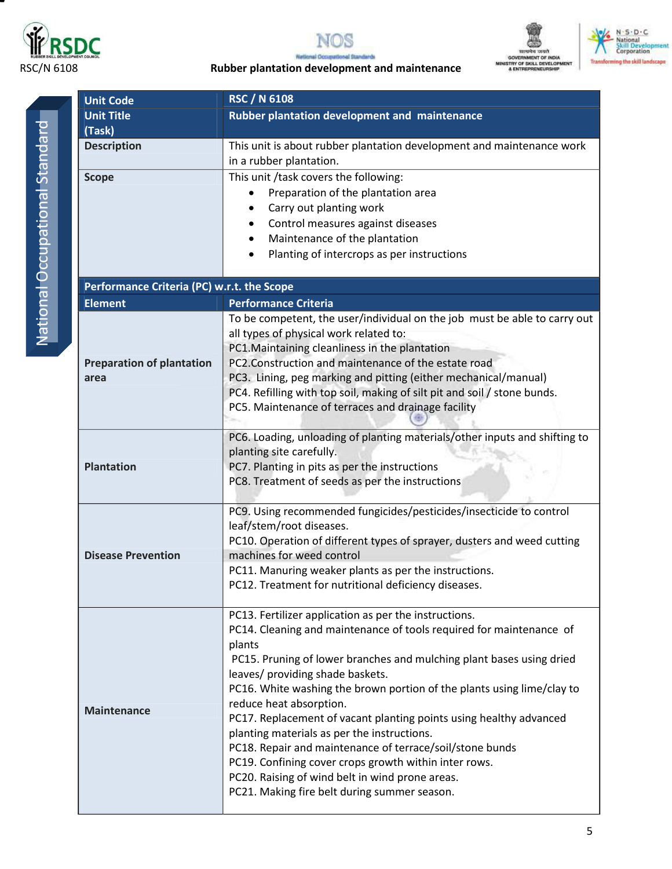







N - S - D - C<br>| National<br>| Skill| Development<br>| Corporation



| <b>Unit Code</b>                           | <b>RSC / N 6108</b>                                                                                               |  |
|--------------------------------------------|-------------------------------------------------------------------------------------------------------------------|--|
| <b>Unit Title</b>                          | Rubber plantation development and maintenance                                                                     |  |
| (Task)                                     |                                                                                                                   |  |
| <b>Description</b>                         | This unit is about rubber plantation development and maintenance work                                             |  |
|                                            | in a rubber plantation.                                                                                           |  |
| <b>Scope</b>                               | This unit /task covers the following:                                                                             |  |
|                                            | Preparation of the plantation area                                                                                |  |
|                                            | Carry out planting work                                                                                           |  |
|                                            | Control measures against diseases<br>$\bullet$                                                                    |  |
|                                            | Maintenance of the plantation<br>$\bullet$<br>Planting of intercrops as per instructions                          |  |
|                                            |                                                                                                                   |  |
| Performance Criteria (PC) w.r.t. the Scope |                                                                                                                   |  |
| <b>Element</b>                             | <b>Performance Criteria</b>                                                                                       |  |
|                                            | To be competent, the user/individual on the job must be able to carry out                                         |  |
|                                            | all types of physical work related to:                                                                            |  |
|                                            | PC1. Maintaining cleanliness in the plantation                                                                    |  |
| <b>Preparation of plantation</b>           | PC2.Construction and maintenance of the estate road                                                               |  |
| area                                       | PC3. Lining, peg marking and pitting (either mechanical/manual)                                                   |  |
|                                            | PC4. Refilling with top soil, making of silt pit and soil / stone bunds.                                          |  |
|                                            | PC5. Maintenance of terraces and drainage facility                                                                |  |
|                                            | PC6. Loading, unloading of planting materials/other inputs and shifting to                                        |  |
|                                            | planting site carefully.                                                                                          |  |
| <b>Plantation</b>                          | PC7. Planting in pits as per the instructions                                                                     |  |
|                                            | PC8. Treatment of seeds as per the instructions                                                                   |  |
|                                            |                                                                                                                   |  |
|                                            | PC9. Using recommended fungicides/pesticides/insecticide to control                                               |  |
|                                            | leaf/stem/root diseases.                                                                                          |  |
|                                            | PC10. Operation of different types of sprayer, dusters and weed cutting                                           |  |
| <b>Disease Prevention</b>                  | machines for weed control                                                                                         |  |
|                                            | PC11. Manuring weaker plants as per the instructions.<br>PC12. Treatment for nutritional deficiency diseases.     |  |
|                                            |                                                                                                                   |  |
|                                            | PC13. Fertilizer application as per the instructions.                                                             |  |
|                                            | PC14. Cleaning and maintenance of tools required for maintenance of                                               |  |
|                                            | plants                                                                                                            |  |
|                                            | PC15. Pruning of lower branches and mulching plant bases using dried                                              |  |
|                                            | leaves/ providing shade baskets.                                                                                  |  |
|                                            | PC16. White washing the brown portion of the plants using lime/clay to                                            |  |
| <b>Maintenance</b>                         | reduce heat absorption.                                                                                           |  |
|                                            | PC17. Replacement of vacant planting points using healthy advanced<br>planting materials as per the instructions. |  |
|                                            | PC18. Repair and maintenance of terrace/soil/stone bunds                                                          |  |
|                                            | PC19. Confining cover crops growth within inter rows.                                                             |  |
|                                            | PC20. Raising of wind belt in wind prone areas.                                                                   |  |
|                                            | PC21. Making fire belt during summer season.                                                                      |  |
|                                            |                                                                                                                   |  |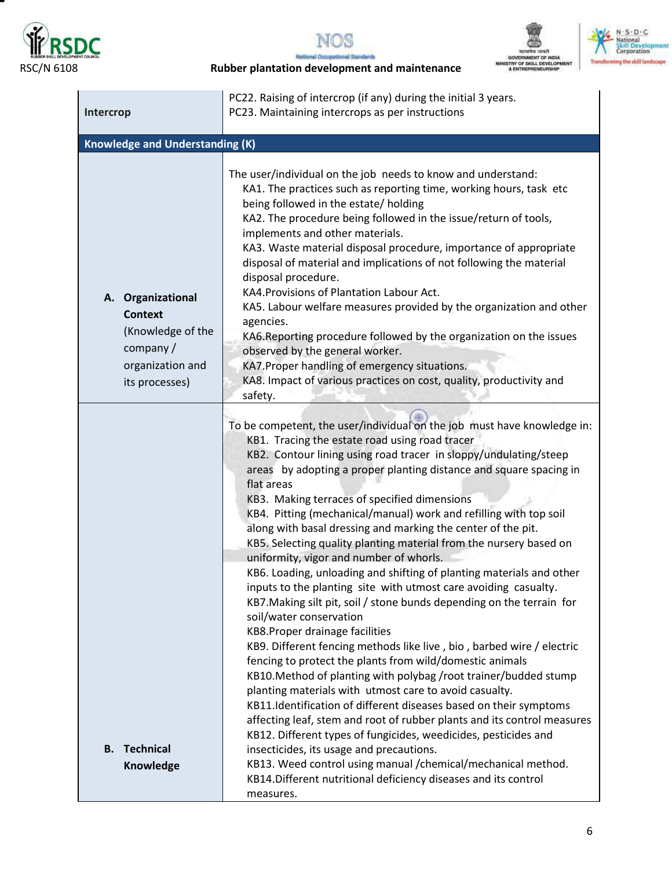

Ξ





RSC/N 6108 **Rubber plantation development and maintenance**

| Intercrop                                                                                                  | PC22. Raising of intercrop (if any) during the initial 3 years.<br>PC23. Maintaining intercrops as per instructions                                                                                                                                                                                                                                                                                                                                                                                                                                                                                                                                                                                                                                                                                                                                                                                                                                                                                                                                                                                                                                                                                                                                                                                                                                                                                                                                                                                                                                         |
|------------------------------------------------------------------------------------------------------------|-------------------------------------------------------------------------------------------------------------------------------------------------------------------------------------------------------------------------------------------------------------------------------------------------------------------------------------------------------------------------------------------------------------------------------------------------------------------------------------------------------------------------------------------------------------------------------------------------------------------------------------------------------------------------------------------------------------------------------------------------------------------------------------------------------------------------------------------------------------------------------------------------------------------------------------------------------------------------------------------------------------------------------------------------------------------------------------------------------------------------------------------------------------------------------------------------------------------------------------------------------------------------------------------------------------------------------------------------------------------------------------------------------------------------------------------------------------------------------------------------------------------------------------------------------------|
| <b>Knowledge and Understanding (K)</b>                                                                     |                                                                                                                                                                                                                                                                                                                                                                                                                                                                                                                                                                                                                                                                                                                                                                                                                                                                                                                                                                                                                                                                                                                                                                                                                                                                                                                                                                                                                                                                                                                                                             |
| A. Organizational<br><b>Context</b><br>(Knowledge of the<br>company/<br>organization and<br>its processes) | The user/individual on the job needs to know and understand:<br>KA1. The practices such as reporting time, working hours, task etc<br>being followed in the estate/ holding<br>KA2. The procedure being followed in the issue/return of tools,<br>implements and other materials.<br>KA3. Waste material disposal procedure, importance of appropriate<br>disposal of material and implications of not following the material<br>disposal procedure.<br>KA4. Provisions of Plantation Labour Act.<br>KA5. Labour welfare measures provided by the organization and other<br>agencies.<br>KA6. Reporting procedure followed by the organization on the issues<br>observed by the general worker.<br>KA7. Proper handling of emergency situations.<br>KA8. Impact of various practices on cost, quality, productivity and<br>safety.                                                                                                                                                                                                                                                                                                                                                                                                                                                                                                                                                                                                                                                                                                                          |
| <b>Technical</b><br>В.<br>Knowledge                                                                        | To be competent, the user/individual on the job must have knowledge in:<br>KB1. Tracing the estate road using road tracer<br>KB2. Contour lining using road tracer in sloppy/undulating/steep<br>areas by adopting a proper planting distance and square spacing in<br>flat areas<br>KB3. Making terraces of specified dimensions<br>KB4. Pitting (mechanical/manual) work and refilling with top soil<br>along with basal dressing and marking the center of the pit.<br>KB5. Selecting quality planting material from the nursery based on<br>uniformity, vigor and number of whorls.<br>KB6. Loading, unloading and shifting of planting materials and other<br>inputs to the planting site with utmost care avoiding casualty.<br>KB7. Making silt pit, soil / stone bunds depending on the terrain for<br>soil/water conservation<br>KB8. Proper drainage facilities<br>KB9. Different fencing methods like live, bio, barbed wire / electric<br>fencing to protect the plants from wild/domestic animals<br>KB10. Method of planting with polybag /root trainer/budded stump<br>planting materials with utmost care to avoid casualty.<br>KB11.Identification of different diseases based on their symptoms<br>affecting leaf, stem and root of rubber plants and its control measures<br>KB12. Different types of fungicides, weedicides, pesticides and<br>insecticides, its usage and precautions.<br>KB13. Weed control using manual /chemical/mechanical method.<br>KB14. Different nutritional deficiency diseases and its control<br>measures. |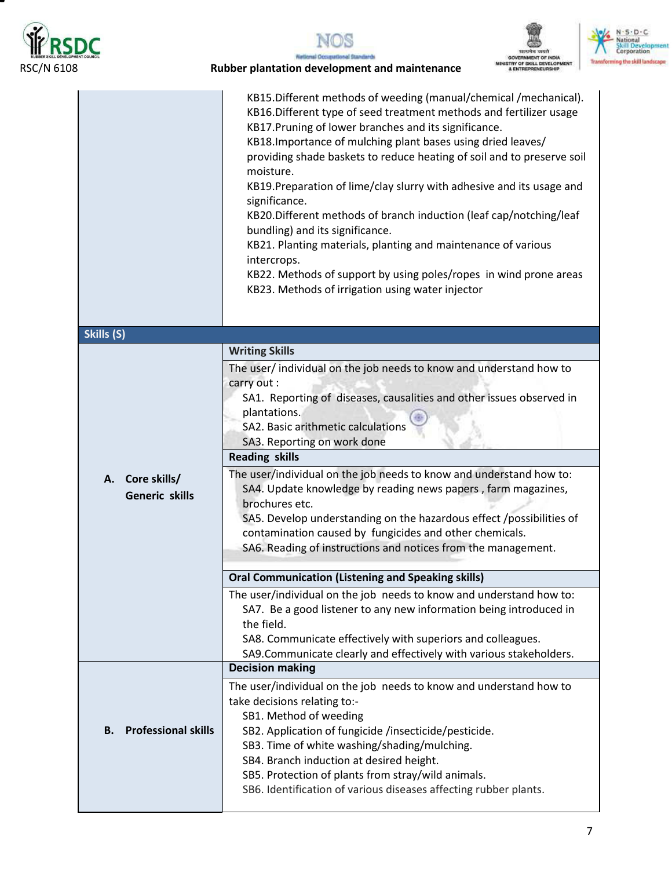

т





#### RSC/N 6108 **Rubber plantation development and maintenance**

|                                             | KB15.Different methods of weeding (manual/chemical /mechanical).<br>KB16.Different type of seed treatment methods and fertilizer usage<br>KB17. Pruning of lower branches and its significance.<br>KB18. Importance of mulching plant bases using dried leaves/<br>providing shade baskets to reduce heating of soil and to preserve soil<br>moisture.<br>KB19. Preparation of lime/clay slurry with adhesive and its usage and<br>significance.<br>KB20.Different methods of branch induction (leaf cap/notching/leaf<br>bundling) and its significance.<br>KB21. Planting materials, planting and maintenance of various<br>intercrops.<br>KB22. Methods of support by using poles/ropes in wind prone areas<br>KB23. Methods of irrigation using water injector                                                                                                        |
|---------------------------------------------|---------------------------------------------------------------------------------------------------------------------------------------------------------------------------------------------------------------------------------------------------------------------------------------------------------------------------------------------------------------------------------------------------------------------------------------------------------------------------------------------------------------------------------------------------------------------------------------------------------------------------------------------------------------------------------------------------------------------------------------------------------------------------------------------------------------------------------------------------------------------------|
| Skills (S)                                  |                                                                                                                                                                                                                                                                                                                                                                                                                                                                                                                                                                                                                                                                                                                                                                                                                                                                           |
| Core skills/<br>А.<br><b>Generic skills</b> | <b>Writing Skills</b><br>The user/ individual on the job needs to know and understand how to<br>carry out :<br>SA1. Reporting of diseases, causalities and other issues observed in<br>plantations.<br>SA2. Basic arithmetic calculations<br>SA3. Reporting on work done<br><b>Reading skills</b><br>The user/individual on the job needs to know and understand how to:<br>SA4. Update knowledge by reading news papers, farm magazines,<br>brochures etc.<br>SA5. Develop understanding on the hazardous effect /possibilities of<br>contamination caused by fungicides and other chemicals.<br>SA6. Reading of instructions and notices from the management.<br><b>Oral Communication (Listening and Speaking skills)</b><br>The user/individual on the job needs to know and understand how to:<br>SA7. Be a good listener to any new information being introduced in |
|                                             | the field.<br>SA8. Communicate effectively with superiors and colleagues.<br>SA9.Communicate clearly and effectively with various stakeholders.                                                                                                                                                                                                                                                                                                                                                                                                                                                                                                                                                                                                                                                                                                                           |
| <b>Professional skills</b><br>В.            | <b>Decision making</b><br>The user/individual on the job needs to know and understand how to<br>take decisions relating to:-<br>SB1. Method of weeding<br>SB2. Application of fungicide /insecticide/pesticide.<br>SB3. Time of white washing/shading/mulching.<br>SB4. Branch induction at desired height.<br>SB5. Protection of plants from stray/wild animals.<br>SB6. Identification of various diseases affecting rubber plants.                                                                                                                                                                                                                                                                                                                                                                                                                                     |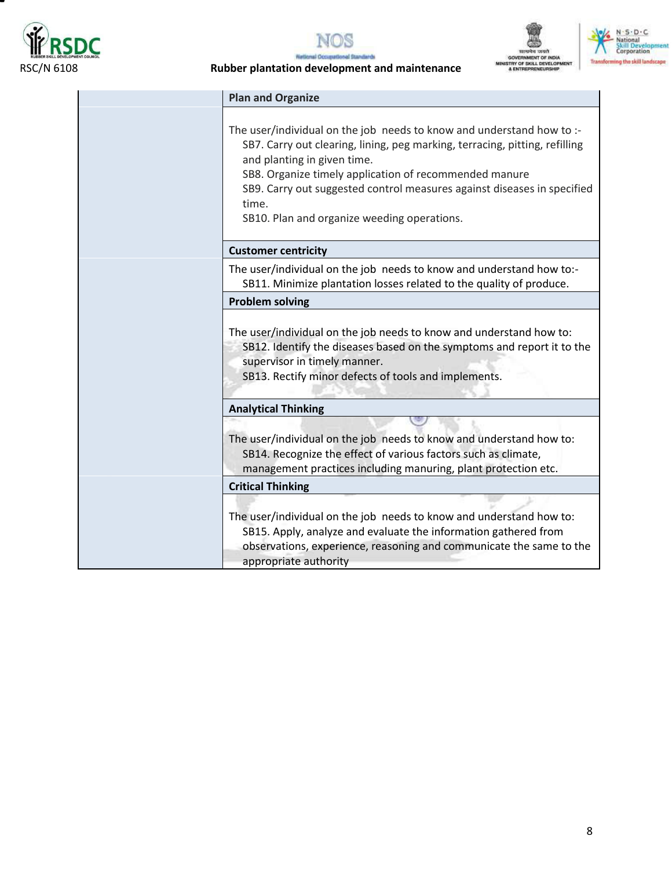

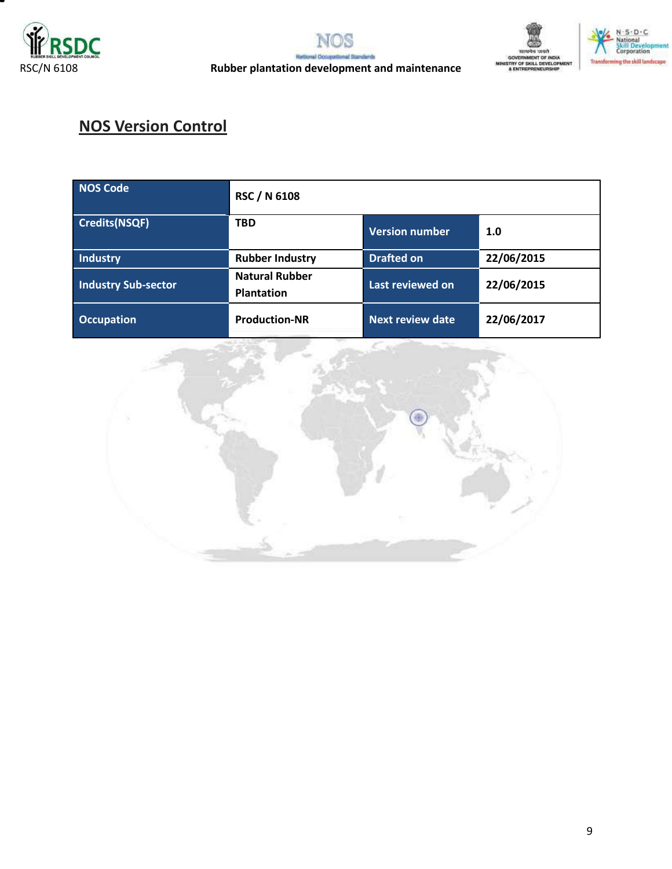





## **NOS Version Control**

| <b>NOS Code</b>            | <b>RSC / N 6108</b>                        |                         |            |
|----------------------------|--------------------------------------------|-------------------------|------------|
| Credits(NSQF)              | <b>TBD</b>                                 | <b>Version number</b>   | 1.0        |
| Industry                   | <b>Rubber Industry</b>                     | <b>Drafted on</b>       | 22/06/2015 |
| <b>Industry Sub-sector</b> | <b>Natural Rubber</b><br><b>Plantation</b> | Last reviewed on        | 22/06/2015 |
| <b>Occupation</b>          | <b>Production-NR</b>                       | <b>Next review date</b> | 22/06/2017 |

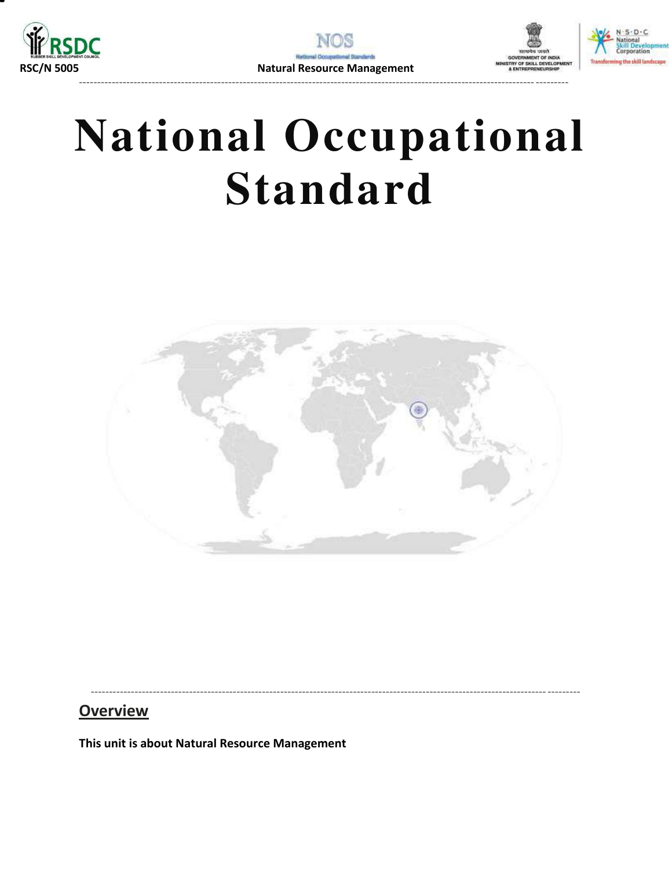





## **National Occupational Standard**



**Overview** 

<span id="page-9-0"></span>This unit is about Natural Resource Management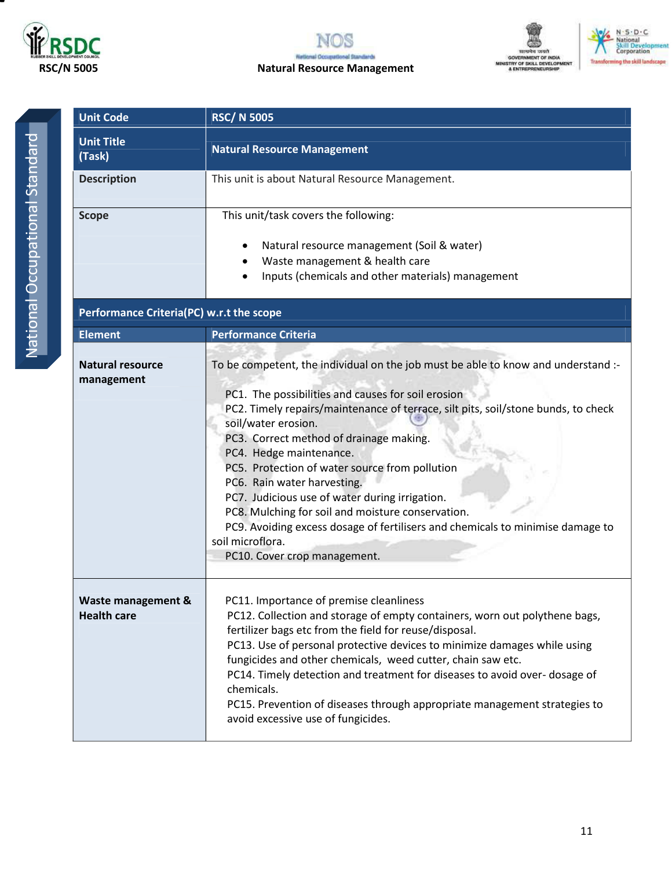







National Occupational Standard National Occupational Standard

| <b>Unit Code</b>                         | <b>RSC/N 5005</b>                                                                                                                                                                                                                                                                                                                                                                                                                                                                                                                                                                                                                                       |
|------------------------------------------|---------------------------------------------------------------------------------------------------------------------------------------------------------------------------------------------------------------------------------------------------------------------------------------------------------------------------------------------------------------------------------------------------------------------------------------------------------------------------------------------------------------------------------------------------------------------------------------------------------------------------------------------------------|
| <b>Unit Title</b><br>(Task)              | <b>Natural Resource Management</b>                                                                                                                                                                                                                                                                                                                                                                                                                                                                                                                                                                                                                      |
| <b>Description</b>                       | This unit is about Natural Resource Management.                                                                                                                                                                                                                                                                                                                                                                                                                                                                                                                                                                                                         |
| <b>Scope</b>                             | This unit/task covers the following:<br>Natural resource management (Soil & water)<br>Waste management & health care<br>Inputs (chemicals and other materials) management                                                                                                                                                                                                                                                                                                                                                                                                                                                                               |
| Performance Criteria(PC) w.r.t the scope |                                                                                                                                                                                                                                                                                                                                                                                                                                                                                                                                                                                                                                                         |
| <b>Element</b>                           | <b>Performance Criteria</b>                                                                                                                                                                                                                                                                                                                                                                                                                                                                                                                                                                                                                             |
| <b>Natural resource</b><br>management    | To be competent, the individual on the job must be able to know and understand :-<br>PC1. The possibilities and causes for soil erosion<br>PC2. Timely repairs/maintenance of terrace, silt pits, soil/stone bunds, to check<br>soil/water erosion.<br>PC3. Correct method of drainage making.<br>PC4. Hedge maintenance.<br>PC5. Protection of water source from pollution<br>PC6. Rain water harvesting.<br>PC7. Judicious use of water during irrigation.<br>PC8. Mulching for soil and moisture conservation.<br>PC9. Avoiding excess dosage of fertilisers and chemicals to minimise damage to<br>soil microflora.<br>PC10. Cover crop management. |
| Waste management &<br><b>Health care</b> | PC11. Importance of premise cleanliness<br>PC12. Collection and storage of empty containers, worn out polythene bags,<br>fertilizer bags etc from the field for reuse/disposal.<br>PC13. Use of personal protective devices to minimize damages while using<br>fungicides and other chemicals, weed cutter, chain saw etc.<br>PC14. Timely detection and treatment for diseases to avoid over- dosage of<br>chemicals.<br>PC15. Prevention of diseases through appropriate management strategies to<br>avoid excessive use of fungicides.                                                                                                               |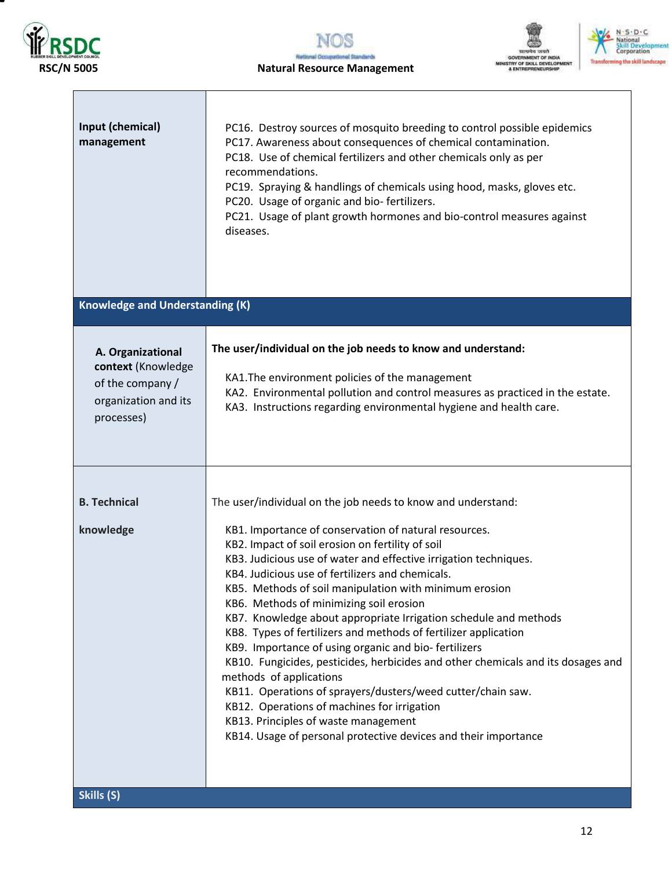



#### **RSC/N 5005 Natural Resource Management**



| Input (chemical)<br>management                                                                    | PC16. Destroy sources of mosquito breeding to control possible epidemics<br>PC17. Awareness about consequences of chemical contamination.<br>PC18. Use of chemical fertilizers and other chemicals only as per<br>recommendations.<br>PC19. Spraying & handlings of chemicals using hood, masks, gloves etc.<br>PC20. Usage of organic and bio-fertilizers.<br>PC21. Usage of plant growth hormones and bio-control measures against<br>diseases.                                                                                                                                                                                                                                                                                                                                                                                                                                                                                             |
|---------------------------------------------------------------------------------------------------|-----------------------------------------------------------------------------------------------------------------------------------------------------------------------------------------------------------------------------------------------------------------------------------------------------------------------------------------------------------------------------------------------------------------------------------------------------------------------------------------------------------------------------------------------------------------------------------------------------------------------------------------------------------------------------------------------------------------------------------------------------------------------------------------------------------------------------------------------------------------------------------------------------------------------------------------------|
| <b>Knowledge and Understanding (K)</b>                                                            |                                                                                                                                                                                                                                                                                                                                                                                                                                                                                                                                                                                                                                                                                                                                                                                                                                                                                                                                               |
| A. Organizational<br>context (Knowledge<br>of the company /<br>organization and its<br>processes) | The user/individual on the job needs to know and understand:<br>KA1. The environment policies of the management<br>KA2. Environmental pollution and control measures as practiced in the estate.<br>KA3. Instructions regarding environmental hygiene and health care.                                                                                                                                                                                                                                                                                                                                                                                                                                                                                                                                                                                                                                                                        |
| <b>B. Technical</b><br>knowledge<br>Skills (S)                                                    | The user/individual on the job needs to know and understand:<br>KB1. Importance of conservation of natural resources.<br>KB2. Impact of soil erosion on fertility of soil<br>KB3. Judicious use of water and effective irrigation techniques.<br>KB4. Judicious use of fertilizers and chemicals.<br>KB5. Methods of soil manipulation with minimum erosion<br>KB6. Methods of minimizing soil erosion<br>KB7. Knowledge about appropriate Irrigation schedule and methods<br>KB8. Types of fertilizers and methods of fertilizer application<br>KB9. Importance of using organic and bio-fertilizers<br>KB10. Fungicides, pesticides, herbicides and other chemicals and its dosages and<br>methods of applications<br>KB11. Operations of sprayers/dusters/weed cutter/chain saw.<br>KB12. Operations of machines for irrigation<br>KB13. Principles of waste management<br>KB14. Usage of personal protective devices and their importance |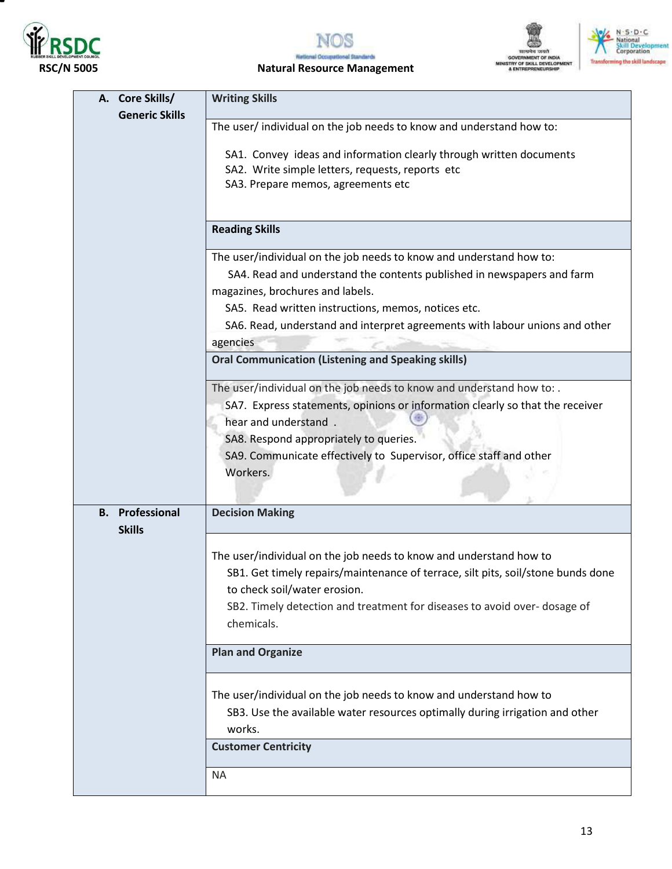

т



# SENTS SENSIS<br>SOVERNMENT OF INDIA<br>STRY OF SKILL DEVELOPM<br>& ENTREPRENEURSHIP



#### **RSC/N 5005 Natural Resource Management**

| A. Core Skills/        | <b>Writing Skills</b>                                                                  |
|------------------------|----------------------------------------------------------------------------------------|
| <b>Generic Skills</b>  |                                                                                        |
|                        | The user/individual on the job needs to know and understand how to:                    |
|                        | SA1. Convey ideas and information clearly through written documents                    |
|                        | SA2. Write simple letters, requests, reports etc                                       |
|                        | SA3. Prepare memos, agreements etc                                                     |
|                        |                                                                                        |
|                        |                                                                                        |
|                        | <b>Reading Skills</b>                                                                  |
|                        | The user/individual on the job needs to know and understand how to:                    |
|                        | SA4. Read and understand the contents published in newspapers and farm                 |
|                        | magazines, brochures and labels.                                                       |
|                        | SA5. Read written instructions, memos, notices etc.                                    |
|                        | SA6. Read, understand and interpret agreements with labour unions and other            |
|                        | agencies                                                                               |
|                        | <b>Oral Communication (Listening and Speaking skills)</b>                              |
|                        | The user/individual on the job needs to know and understand how to: .                  |
|                        | SA7. Express statements, opinions or information clearly so that the receiver          |
|                        | hear and understand.                                                                   |
|                        | SA8. Respond appropriately to queries.                                                 |
|                        | SA9. Communicate effectively to Supervisor, office staff and other                     |
|                        | Workers.                                                                               |
|                        |                                                                                        |
| <b>B.</b> Professional | <b>Decision Making</b>                                                                 |
| <b>Skills</b>          |                                                                                        |
|                        |                                                                                        |
|                        | The user/individual on the job needs to know and understand how to                     |
|                        | SB1. Get timely repairs/maintenance of terrace, silt pits, soil/stone bunds done       |
|                        | to check soil/water erosion.                                                           |
|                        | SB2. Timely detection and treatment for diseases to avoid over-dosage of<br>chemicals. |
|                        | <b>Plan and Organize</b>                                                               |
|                        |                                                                                        |
|                        | The user/individual on the job needs to know and understand how to                     |
|                        | SB3. Use the available water resources optimally during irrigation and other           |
|                        | works.                                                                                 |
|                        |                                                                                        |
|                        | <b>Customer Centricity</b>                                                             |
|                        | <b>NA</b>                                                                              |
|                        |                                                                                        |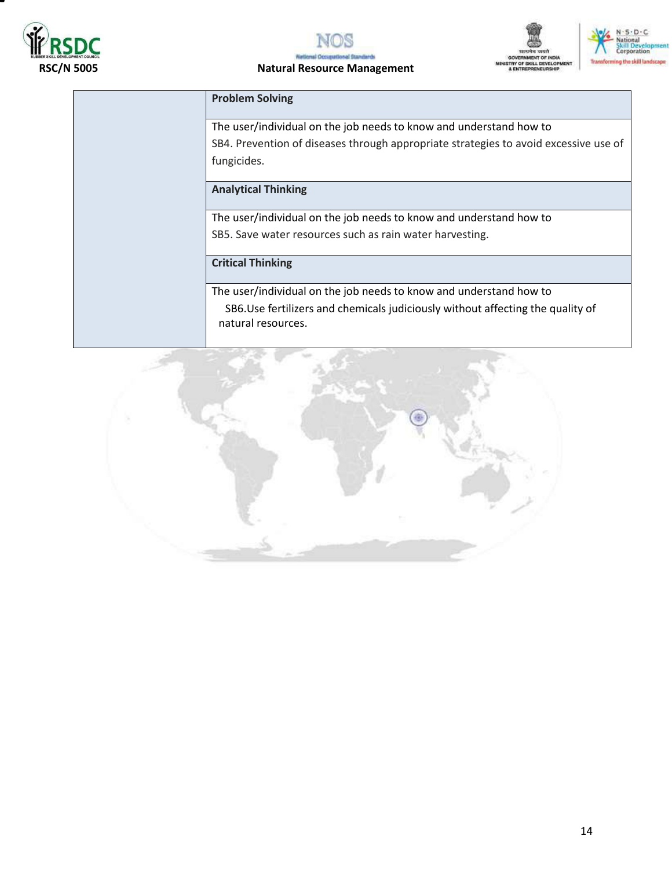





N - S - D - C<br>National<br>Skill Develo<br>Corporation

ng the skill landscape

**Hen** 

### **RSC/N 5005 Natural Resource Management**

| <b>Problem Solving</b>     |                                                                                      |
|----------------------------|--------------------------------------------------------------------------------------|
|                            | The user/individual on the job needs to know and understand how to                   |
|                            | SB4. Prevention of diseases through appropriate strategies to avoid excessive use of |
| fungicides.                |                                                                                      |
| <b>Analytical Thinking</b> |                                                                                      |
|                            | The user/individual on the job needs to know and understand how to                   |
|                            | SB5. Save water resources such as rain water harvesting.                             |
| <b>Critical Thinking</b>   |                                                                                      |
|                            | The user/individual on the job needs to know and understand how to                   |
| natural resources.         | SB6.Use fertilizers and chemicals judiciously without affecting the quality of       |
|                            |                                                                                      |

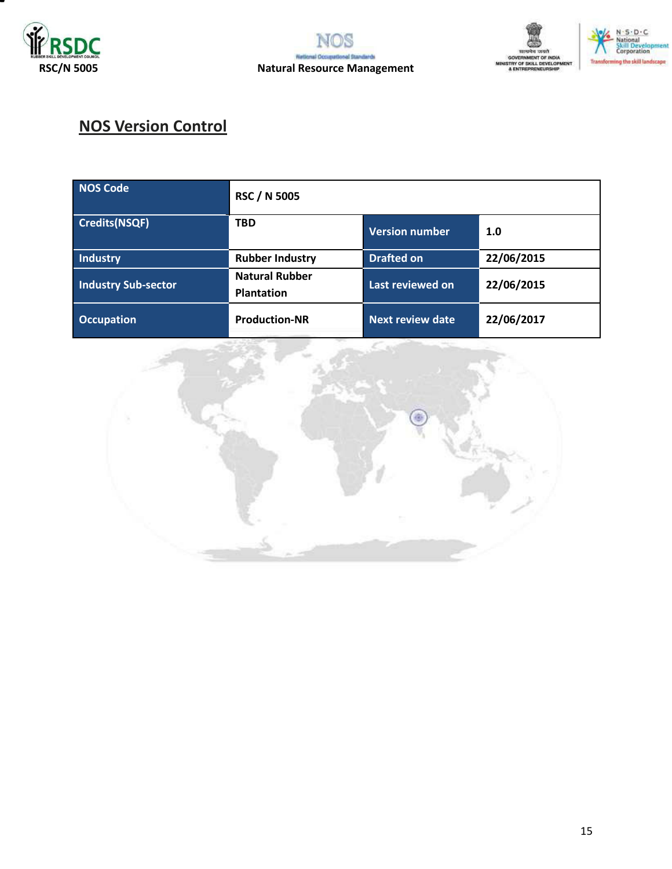





## **NOS Version Control**

| NOS Code                   | <b>RSC / N 5005</b>                        |                         |            |
|----------------------------|--------------------------------------------|-------------------------|------------|
| Credits(NSQF)              | <b>TBD</b>                                 | <b>Version number</b>   | 1.0        |
| Industry                   | <b>Rubber Industry</b>                     | <b>Drafted on</b>       | 22/06/2015 |
| <b>Industry Sub-sector</b> | <b>Natural Rubber</b><br><b>Plantation</b> | Last reviewed on        | 22/06/2015 |
| <b>Occupation</b>          | <b>Production-NR</b>                       | <b>Next review date</b> | 22/06/2017 |

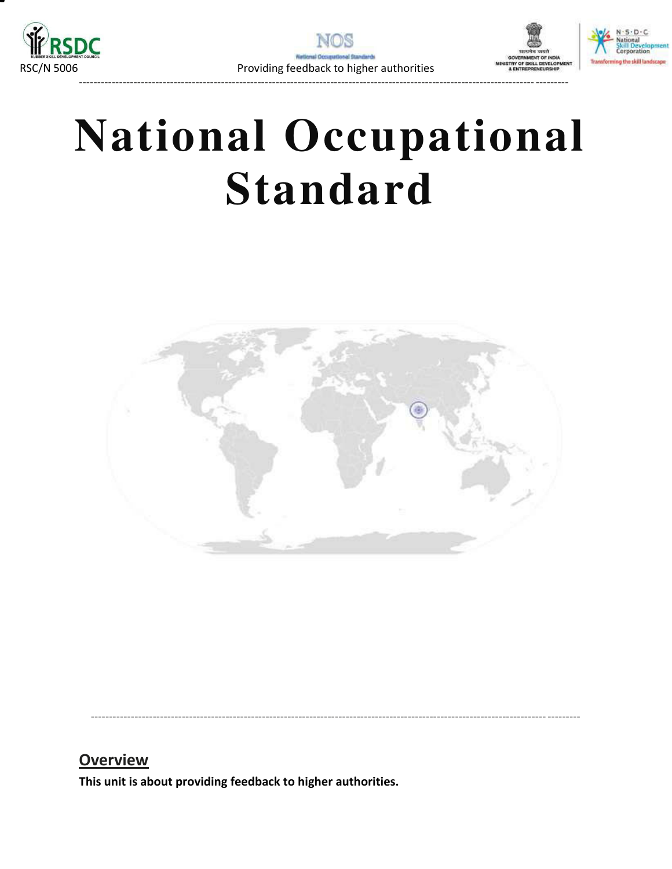





----------------------------------------------------------------------------------------------------------------------------- ---------

# **National Occupational Standard**



----------------------------------------------------------------------------------------------------------------------------- ---------

### **Overview**

<span id="page-15-0"></span>**This unit is about providing feedback to higher authorities.**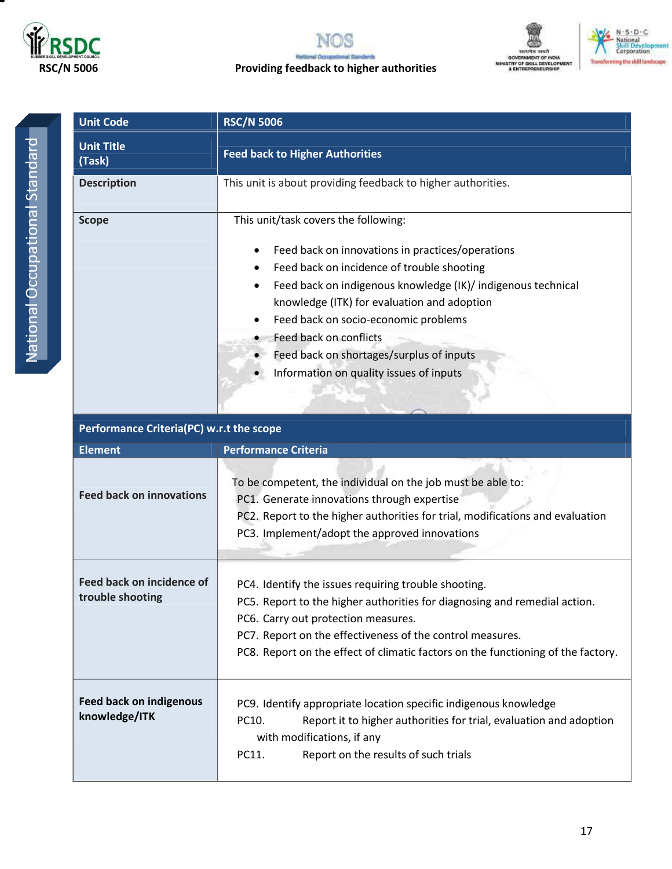







| <b>Unit Code</b>            | <b>RSC/N 5006</b>                                                                                                                                                                                                                                                                                                                                                                                              |
|-----------------------------|----------------------------------------------------------------------------------------------------------------------------------------------------------------------------------------------------------------------------------------------------------------------------------------------------------------------------------------------------------------------------------------------------------------|
| <b>Unit Title</b><br>(Task) | <b>Feed back to Higher Authorities</b>                                                                                                                                                                                                                                                                                                                                                                         |
| <b>Description</b>          | This unit is about providing feedback to higher authorities.                                                                                                                                                                                                                                                                                                                                                   |
| <b>Scope</b>                | This unit/task covers the following:<br>Feed back on innovations in practices/operations<br>Feed back on incidence of trouble shooting<br>Feed back on indigenous knowledge (IK)/ indigenous technical<br>knowledge (ITK) for evaluation and adoption<br>Feed back on socio-economic problems<br>Feed back on conflicts<br>Feed back on shortages/surplus of inputs<br>Information on quality issues of inputs |

| Performance Criteria(PC) w.r.t the scope        |                                                                                                                                                                                                                                                                                                                           |  |  |  |
|-------------------------------------------------|---------------------------------------------------------------------------------------------------------------------------------------------------------------------------------------------------------------------------------------------------------------------------------------------------------------------------|--|--|--|
| <b>Element</b>                                  | <b>Performance Criteria</b>                                                                                                                                                                                                                                                                                               |  |  |  |
| <b>Feed back on innovations</b>                 | To be competent, the individual on the job must be able to:<br>PC1. Generate innovations through expertise<br>PC2. Report to the higher authorities for trial, modifications and evaluation<br>PC3. Implement/adopt the approved innovations                                                                              |  |  |  |
| Feed back on incidence of<br>trouble shooting   | PC4. Identify the issues requiring trouble shooting.<br>PC5. Report to the higher authorities for diagnosing and remedial action.<br>PC6. Carry out protection measures.<br>PC7. Report on the effectiveness of the control measures.<br>PC8. Report on the effect of climatic factors on the functioning of the factory. |  |  |  |
| <b>Feed back on indigenous</b><br>knowledge/ITK | PC9. Identify appropriate location specific indigenous knowledge<br>PC10.<br>Report it to higher authorities for trial, evaluation and adoption<br>with modifications, if any<br>PC11.<br>Report on the results of such trials                                                                                            |  |  |  |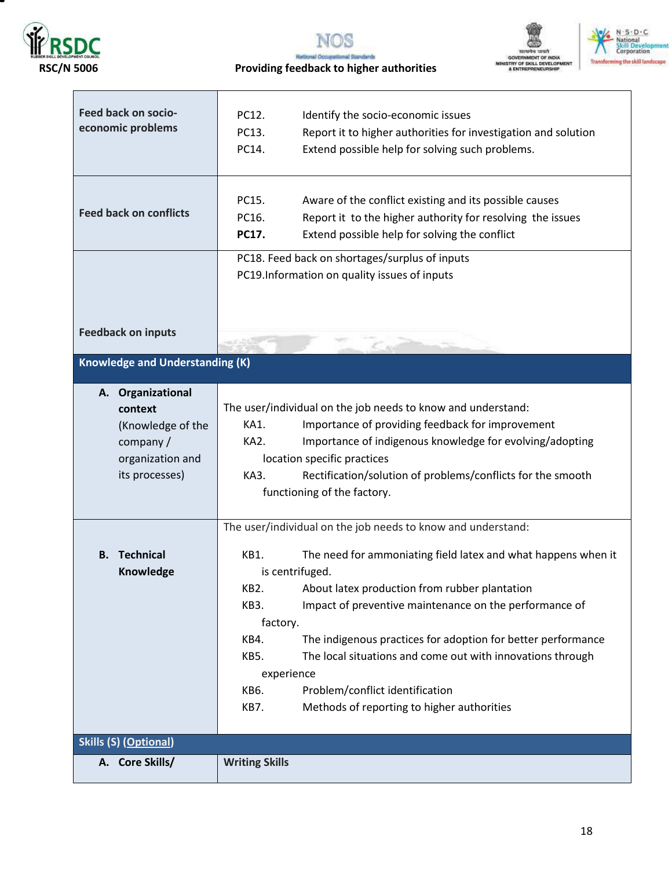



#### RSC/N 5006 **RSC/N 5006** Providing feedback to higher authorities



| Feed back on socio-<br>economic problems                                                            | PC12.<br>Identify the socio-economic issues<br>PC13.<br>Report it to higher authorities for investigation and solution<br>Extend possible help for solving such problems.<br>PC14.                                                                                                                                                                                                                                                                                                           |
|-----------------------------------------------------------------------------------------------------|----------------------------------------------------------------------------------------------------------------------------------------------------------------------------------------------------------------------------------------------------------------------------------------------------------------------------------------------------------------------------------------------------------------------------------------------------------------------------------------------|
| <b>Feed back on conflicts</b>                                                                       | PC15.<br>Aware of the conflict existing and its possible causes<br>Report it to the higher authority for resolving the issues<br>PC16.<br>Extend possible help for solving the conflict<br>PC17.                                                                                                                                                                                                                                                                                             |
|                                                                                                     | PC18. Feed back on shortages/surplus of inputs<br>PC19.Information on quality issues of inputs                                                                                                                                                                                                                                                                                                                                                                                               |
| <b>Feedback on inputs</b>                                                                           |                                                                                                                                                                                                                                                                                                                                                                                                                                                                                              |
| <b>Knowledge and Understanding (K)</b>                                                              |                                                                                                                                                                                                                                                                                                                                                                                                                                                                                              |
| A. Organizational<br>context<br>(Knowledge of the<br>company/<br>organization and<br>its processes) | The user/individual on the job needs to know and understand:<br>KA1.<br>Importance of providing feedback for improvement<br>KA2.<br>Importance of indigenous knowledge for evolving/adopting<br>location specific practices<br>KA3.<br>Rectification/solution of problems/conflicts for the smooth<br>functioning of the factory.                                                                                                                                                            |
|                                                                                                     | The user/individual on the job needs to know and understand:                                                                                                                                                                                                                                                                                                                                                                                                                                 |
| Technical<br>В.<br>Knowledge                                                                        | KB1.<br>The need for ammoniating field latex and what happens when it<br>is centrifuged.<br>KB2.<br>About latex production from rubber plantation<br>KB3.<br>Impact of preventive maintenance on the performance of<br>factory.<br>The indigenous practices for adoption for better performance<br>KB4.<br>The local situations and come out with innovations through<br>KB5.<br>experience<br>Problem/conflict identification<br>KB6.<br>Methods of reporting to higher authorities<br>KB7. |
| <b>Skills (S) (Optional)</b>                                                                        |                                                                                                                                                                                                                                                                                                                                                                                                                                                                                              |
| A. Core Skills/                                                                                     | <b>Writing Skills</b>                                                                                                                                                                                                                                                                                                                                                                                                                                                                        |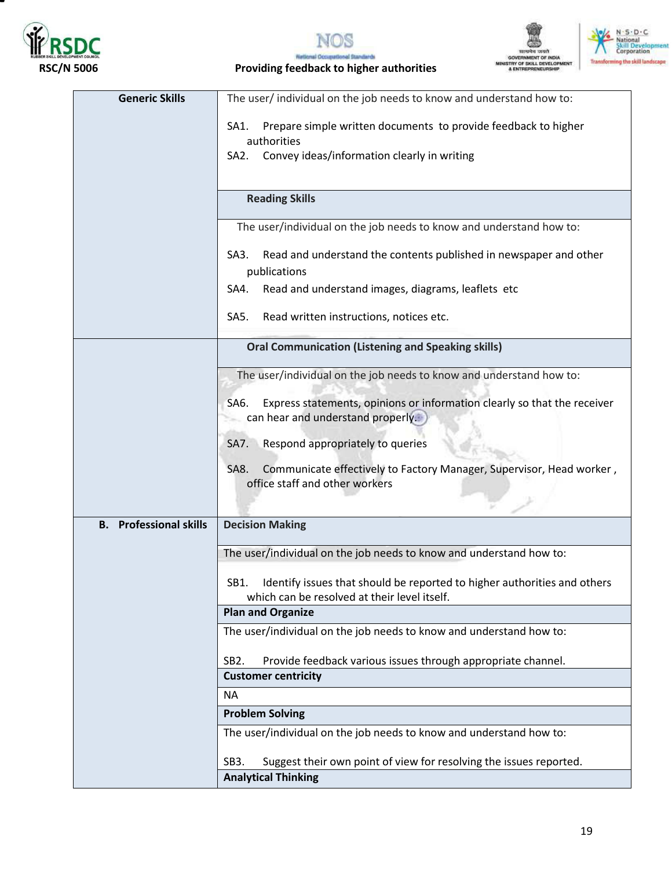

т





#### RSC/N 5006 **RSC/N 5006** Providing feedback to higher authorities

| <b>Generic Skills</b>         | The user/ individual on the job needs to know and understand how to:                                                               |  |  |  |
|-------------------------------|------------------------------------------------------------------------------------------------------------------------------------|--|--|--|
|                               | Prepare simple written documents to provide feedback to higher<br>SA1.                                                             |  |  |  |
|                               | authorities                                                                                                                        |  |  |  |
|                               | Convey ideas/information clearly in writing<br>SA2.                                                                                |  |  |  |
|                               |                                                                                                                                    |  |  |  |
|                               | <b>Reading Skills</b>                                                                                                              |  |  |  |
|                               | The user/individual on the job needs to know and understand how to:                                                                |  |  |  |
|                               | Read and understand the contents published in newspaper and other<br>SA <sub>3</sub> .<br>publications                             |  |  |  |
|                               | Read and understand images, diagrams, leaflets etc<br>SA4.                                                                         |  |  |  |
|                               | Read written instructions, notices etc.<br>SA5.                                                                                    |  |  |  |
|                               | <b>Oral Communication (Listening and Speaking skills)</b>                                                                          |  |  |  |
|                               | The user/individual on the job needs to know and understand how to:                                                                |  |  |  |
|                               |                                                                                                                                    |  |  |  |
|                               | Express statements, opinions or information clearly so that the receiver<br>SA <sub>6</sub> .<br>can hear and understand properly. |  |  |  |
|                               |                                                                                                                                    |  |  |  |
|                               | Respond appropriately to queries<br>SA7.                                                                                           |  |  |  |
|                               | Communicate effectively to Factory Manager, Supervisor, Head worker,<br>SA8.                                                       |  |  |  |
|                               | office staff and other workers                                                                                                     |  |  |  |
|                               |                                                                                                                                    |  |  |  |
| <b>B.</b> Professional skills | <b>Decision Making</b>                                                                                                             |  |  |  |
|                               | The user/individual on the job needs to know and understand how to:                                                                |  |  |  |
|                               | SB1.<br>Identify issues that should be reported to higher authorities and others<br>which can be resolved at their level itself.   |  |  |  |
|                               | <b>Plan and Organize</b>                                                                                                           |  |  |  |
|                               | The user/individual on the job needs to know and understand how to:                                                                |  |  |  |
|                               | SB <sub>2</sub> .<br>Provide feedback various issues through appropriate channel.                                                  |  |  |  |
|                               | <b>Customer centricity</b>                                                                                                         |  |  |  |
|                               | <b>NA</b>                                                                                                                          |  |  |  |
|                               | <b>Problem Solving</b>                                                                                                             |  |  |  |
|                               | The user/individual on the job needs to know and understand how to:                                                                |  |  |  |
|                               | Suggest their own point of view for resolving the issues reported.<br>SB <sub>3</sub> .                                            |  |  |  |
|                               | <b>Analytical Thinking</b>                                                                                                         |  |  |  |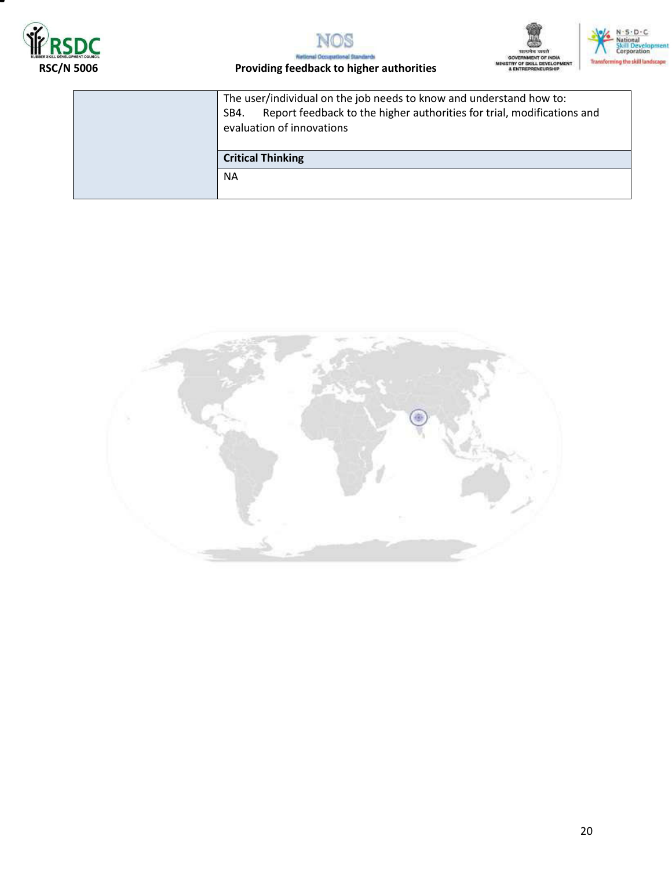





### RSC/N 5006 **RSC/N 5006** Providing feedback to higher authorities

Nat

| The user/individual on the job needs to know and understand how to:<br>Report feedback to the higher authorities for trial, modifications and<br>SB4.<br>evaluation of innovations |
|------------------------------------------------------------------------------------------------------------------------------------------------------------------------------------|
| <b>Critical Thinking</b>                                                                                                                                                           |
| <b>NA</b>                                                                                                                                                                          |

irds

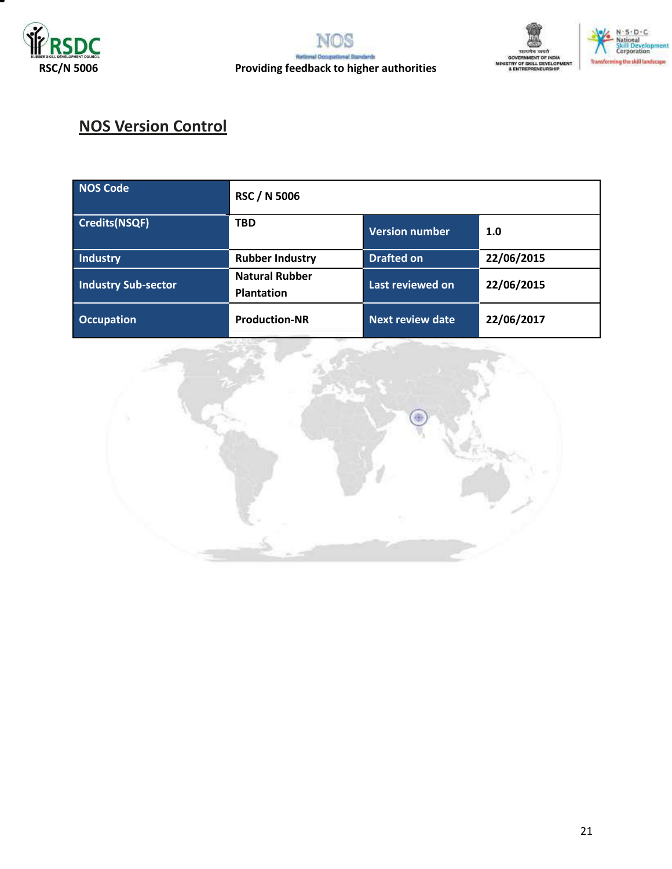



## **NOS Version Control**

| <b>NOS Code</b>            | <b>RSC / N 5006</b>                        |                         |            |  |  |  |
|----------------------------|--------------------------------------------|-------------------------|------------|--|--|--|
| Credits(NSQF)              | <b>TBD</b>                                 | <b>Version number</b>   | 1.0        |  |  |  |
| Industry                   | <b>Rubber Industry</b>                     | <b>Drafted on</b>       | 22/06/2015 |  |  |  |
| <b>Industry Sub-sector</b> | <b>Natural Rubber</b><br><b>Plantation</b> | Last reviewed on        | 22/06/2015 |  |  |  |
| <b>Occupation</b>          | <b>Production-NR</b>                       | <b>Next review date</b> | 22/06/2017 |  |  |  |

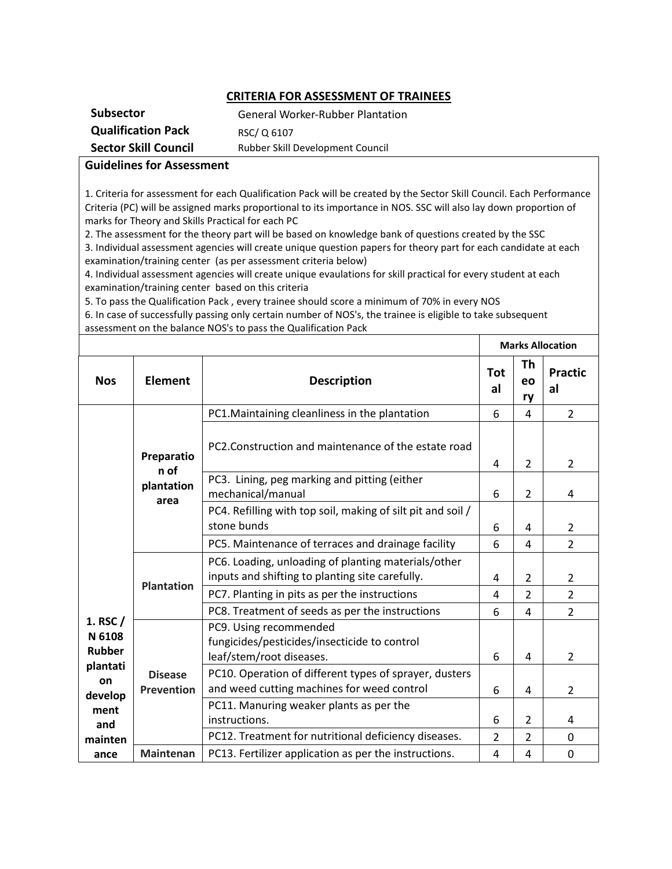#### **CRITERIA FOR ASSESSMENT OF TRAINEES**

| <b>Subsector</b>            | <b>General Worker-Rubber Plantation</b> |
|-----------------------------|-----------------------------------------|
| <b>Qualification Pack</b>   | RSC/Q 6107                              |
| <b>Sector Skill Council</b> | Rubber Skill Development Council        |

#### **Guidelines for Assessment**

1. Criteria for assessment for each Qualification Pack will be created by the Sector Skill Council. Each Performance Criteria (PC) will be assigned marks proportional to its importance in NOS. SSC will also lay down proportion of marks for Theory and Skills Practical for each PC

2. The assessment for the theory part will be based on knowledge bank of questions created by the SSC 3. Individual assessment agencies will create unique question papers for theory part for each candidate at each examination/training center (as per assessment criteria below)

4. Individual assessment agencies will create unique evaulations for skill practical for every student at each examination/training center based on this criteria

5. To pass the Qualification Pack , every trainee should score a minimum of 70% in every NOS

6. In case of successfully passing only certain number of NOS's, the trainee is eligible to take subsequent assessment on the balance NOS's to pass the Qualification Pack

|                                                                                 |                                                                                                        |                                                                                                                                  |                                         |                | <b>Marks Allocation</b> |
|---------------------------------------------------------------------------------|--------------------------------------------------------------------------------------------------------|----------------------------------------------------------------------------------------------------------------------------------|-----------------------------------------|----------------|-------------------------|
| <b>Nos</b>                                                                      | <b>Element</b>                                                                                         | <b>Description</b>                                                                                                               | <b>Tot</b><br>al                        | Th<br>eo<br>ry | <b>Practic</b><br>al    |
|                                                                                 |                                                                                                        | PC1. Maintaining cleanliness in the plantation                                                                                   | 6                                       | 4              | $\overline{2}$          |
|                                                                                 | Preparatio<br>n of                                                                                     | PC2. Construction and maintenance of the estate road                                                                             | 4                                       | $\overline{2}$ | $\overline{2}$          |
|                                                                                 | plantation<br>area                                                                                     | PC3. Lining, peg marking and pitting (either<br>mechanical/manual                                                                | $\overline{2}$<br>6<br>6<br>4<br>6<br>4 | 4              |                         |
|                                                                                 |                                                                                                        | PC4. Refilling with top soil, making of silt pit and soil /<br>stone bunds<br>PC5. Maintenance of terraces and drainage facility |                                         |                | 2                       |
|                                                                                 |                                                                                                        |                                                                                                                                  |                                         |                | $\overline{2}$          |
|                                                                                 | PC6. Loading, unloading of planting materials/other<br>inputs and shifting to planting site carefully. | 4                                                                                                                                | 2                                       | 2              |                         |
|                                                                                 | <b>Plantation</b>                                                                                      | PC7. Planting in pits as per the instructions                                                                                    | 4                                       | $\overline{2}$ | $\overline{2}$          |
|                                                                                 |                                                                                                        | PC8. Treatment of seeds as per the instructions                                                                                  | 6                                       | 4              | $\overline{2}$          |
| 1. RSC /<br>N 6108<br><b>Rubber</b><br>plantati<br>on<br>develop<br>ment<br>and |                                                                                                        | PC9. Using recommended<br>fungicides/pesticides/insecticide to control<br>leaf/stem/root diseases.                               | 6                                       | 4              | $\overline{2}$          |
|                                                                                 | <b>Disease</b><br><b>Prevention</b>                                                                    | PC10. Operation of different types of sprayer, dusters<br>and weed cutting machines for weed control                             | 6                                       | 4              | $\overline{2}$          |
|                                                                                 |                                                                                                        | PC11. Manuring weaker plants as per the<br>instructions.                                                                         | 6                                       | $\overline{2}$ | 4                       |
| mainten                                                                         |                                                                                                        | PC12. Treatment for nutritional deficiency diseases.                                                                             | $\overline{2}$                          | $\overline{2}$ | $\mathbf 0$             |
| ance                                                                            | <b>Maintenan</b>                                                                                       | PC13. Fertilizer application as per the instructions.                                                                            | 4                                       | 4              | $\mathbf 0$             |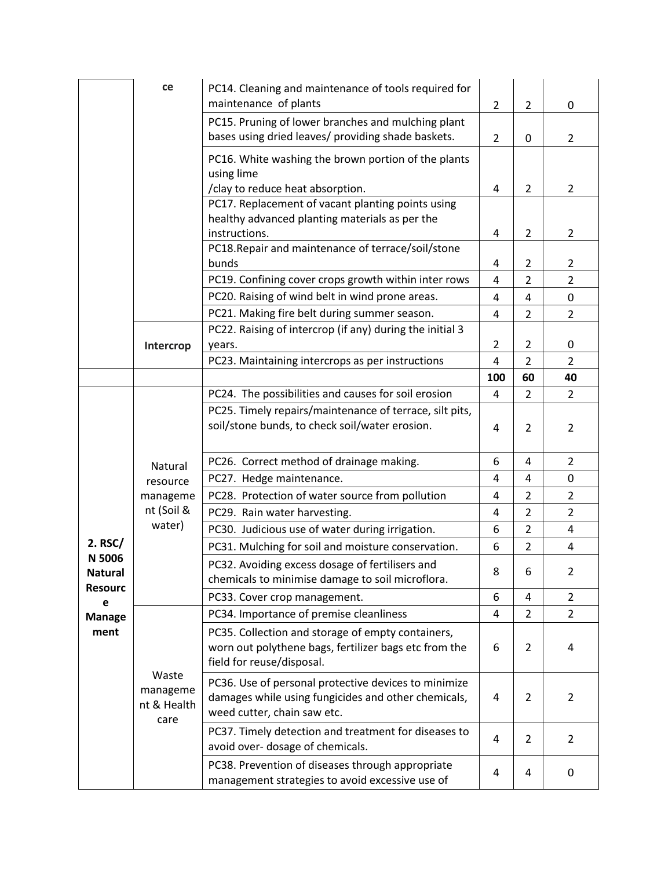|                                            | ce                                       | PC14. Cleaning and maintenance of tools required for<br>maintenance of plants                                                              | $\overline{2}$ | $\overline{2}$ | 0                   |
|--------------------------------------------|------------------------------------------|--------------------------------------------------------------------------------------------------------------------------------------------|----------------|----------------|---------------------|
|                                            |                                          | PC15. Pruning of lower branches and mulching plant<br>bases using dried leaves/ providing shade baskets.                                   | $\overline{2}$ | 0              | $\overline{2}$      |
|                                            |                                          | PC16. White washing the brown portion of the plants<br>using lime<br>/clay to reduce heat absorption.                                      |                | $\overline{2}$ | $\overline{2}$      |
|                                            |                                          | PC17. Replacement of vacant planting points using<br>healthy advanced planting materials as per the                                        | 4              |                |                     |
|                                            |                                          | instructions.                                                                                                                              | 4              | $\overline{2}$ | $\overline{2}$      |
|                                            |                                          | PC18. Repair and maintenance of terrace/soil/stone<br>bunds                                                                                |                | $\overline{2}$ |                     |
|                                            |                                          | PC19. Confining cover crops growth within inter rows                                                                                       | 4<br>4         | $\overline{2}$ | 2<br>$\overline{2}$ |
|                                            |                                          | PC20. Raising of wind belt in wind prone areas.                                                                                            | 4              | 4              | 0                   |
|                                            |                                          | PC21. Making fire belt during summer season.                                                                                               | 4              | $\overline{2}$ | 2                   |
|                                            |                                          | PC22. Raising of intercrop (if any) during the initial 3                                                                                   |                |                |                     |
|                                            | Intercrop                                | years.                                                                                                                                     | $\overline{2}$ | $\overline{2}$ | 0                   |
|                                            |                                          | PC23. Maintaining intercrops as per instructions                                                                                           | 4              | $\overline{2}$ | $\overline{2}$      |
|                                            |                                          |                                                                                                                                            | 100            | 60             | 40                  |
|                                            |                                          | PC24. The possibilities and causes for soil erosion                                                                                        | 4              | $\overline{2}$ | $\overline{2}$      |
|                                            |                                          | PC25. Timely repairs/maintenance of terrace, silt pits,<br>soil/stone bunds, to check soil/water erosion.                                  | 4              | $\overline{2}$ | $\overline{2}$      |
|                                            | Natural                                  | PC26. Correct method of drainage making.                                                                                                   | 6              | 4              | $\overline{2}$      |
|                                            | resource                                 | PC27. Hedge maintenance.<br>PC28. Protection of water source from pollution                                                                | 4              | 4              | $\mathbf 0$         |
|                                            | manageme                                 |                                                                                                                                            | 4              | $\overline{2}$ | $\overline{2}$      |
|                                            | nt (Soil &                               | PC29. Rain water harvesting.                                                                                                               | 4              | $\overline{2}$ | $\overline{2}$      |
|                                            | water)                                   | PC30. Judicious use of water during irrigation.                                                                                            | 6              | $\overline{2}$ | $\overline{4}$      |
| 2. RSC/                                    |                                          | PC31. Mulching for soil and moisture conservation.                                                                                         | 6              | $\overline{2}$ | 4                   |
| N 5006<br><b>Natural</b><br><b>Resourc</b> |                                          | PC32. Avoiding excess dosage of fertilisers and<br>chemicals to minimise damage to soil microflora.                                        | 8              | 6              | 2                   |
| е                                          |                                          | PC33. Cover crop management.                                                                                                               | 6              | 4              | $\overline{2}$      |
| <b>Manage</b>                              |                                          | PC34. Importance of premise cleanliness                                                                                                    | 4              | $\overline{2}$ | $\overline{2}$      |
| ment                                       |                                          | PC35. Collection and storage of empty containers,<br>worn out polythene bags, fertilizer bags etc from the<br>field for reuse/disposal.    | 6              | $\overline{2}$ | 4                   |
|                                            | Waste<br>manageme<br>nt & Health<br>care | PC36. Use of personal protective devices to minimize<br>damages while using fungicides and other chemicals,<br>weed cutter, chain saw etc. | 4              | $\overline{2}$ | $\overline{2}$      |
|                                            |                                          | PC37. Timely detection and treatment for diseases to<br>avoid over-dosage of chemicals.                                                    | 4              | $\overline{2}$ | $\overline{2}$      |
|                                            |                                          | PC38. Prevention of diseases through appropriate<br>management strategies to avoid excessive use of                                        | 4              | 4              | 0                   |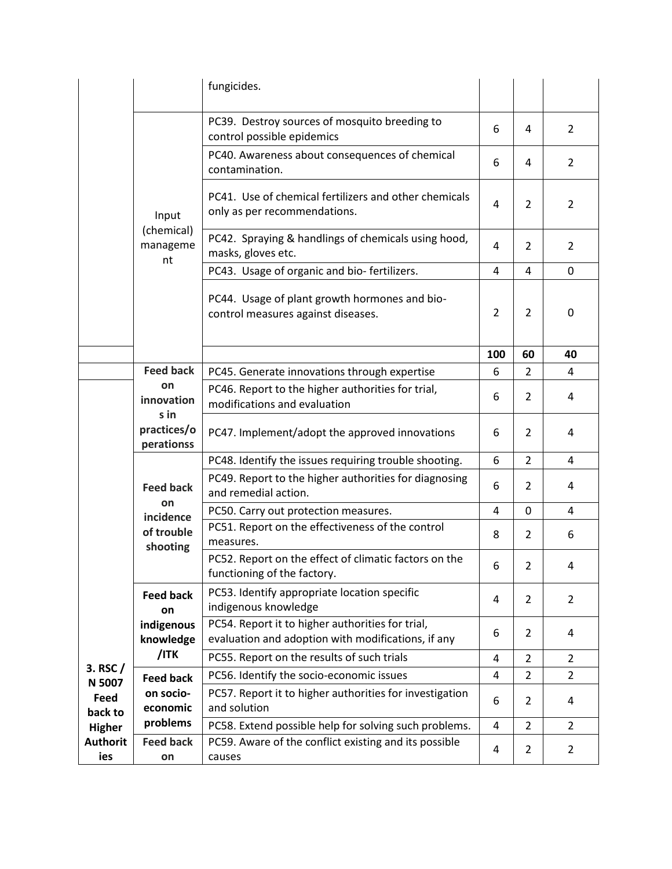|                                                                                    |                                                                                                                                   | fungicides.                                                                           |                |                |                |
|------------------------------------------------------------------------------------|-----------------------------------------------------------------------------------------------------------------------------------|---------------------------------------------------------------------------------------|----------------|----------------|----------------|
|                                                                                    |                                                                                                                                   | PC39. Destroy sources of mosquito breeding to<br>control possible epidemics           | 6              | 4              | 2              |
|                                                                                    |                                                                                                                                   | PC40. Awareness about consequences of chemical<br>contamination.                      | 6              | 4              | 2              |
|                                                                                    | Input                                                                                                                             | PC41. Use of chemical fertilizers and other chemicals<br>only as per recommendations. | 4              | 2              | 2              |
|                                                                                    | (chemical)<br>manageme<br>nt                                                                                                      | PC42. Spraying & handlings of chemicals using hood,<br>masks, gloves etc.             | 4              | $\overline{2}$ | 2              |
|                                                                                    |                                                                                                                                   | PC43. Usage of organic and bio-fertilizers.                                           | 4              | 4              | $\Omega$       |
|                                                                                    |                                                                                                                                   | PC44. Usage of plant growth hormones and bio-<br>control measures against diseases.   | $\overline{2}$ | $\overline{2}$ | 0              |
|                                                                                    |                                                                                                                                   | 100                                                                                   | 60             | 40             |                |
|                                                                                    | <b>Feed back</b>                                                                                                                  | PC45. Generate innovations through expertise                                          | 6              | $\overline{2}$ | 4              |
|                                                                                    | on<br>innovation<br>s in                                                                                                          | PC46. Report to the higher authorities for trial,<br>modifications and evaluation     | 6              | $\overline{2}$ | 4              |
|                                                                                    | practices/o<br>perationss                                                                                                         | PC47. Implement/adopt the approved innovations                                        | 6              | $\overline{2}$ | 4              |
|                                                                                    |                                                                                                                                   | PC48. Identify the issues requiring trouble shooting.                                 | 6              | $\overline{2}$ | 4              |
|                                                                                    | <b>Feed back</b>                                                                                                                  | PC49. Report to the higher authorities for diagnosing<br>and remedial action.         | 6              | 2              | 4              |
|                                                                                    | on<br>incidence                                                                                                                   | PC50. Carry out protection measures.                                                  | 4              | 0              | 4              |
|                                                                                    | of trouble<br>shooting                                                                                                            | PC51. Report on the effectiveness of the control<br>measures.                         | 8              | $\overline{2}$ | 6              |
|                                                                                    |                                                                                                                                   | PC52. Report on the effect of climatic factors on the<br>functioning of the factory.  | 6              | 2              | 4              |
|                                                                                    | <b>Feed back</b><br>on                                                                                                            | PC53. Identify appropriate location specific<br>indigenous knowledge                  | 4              | 2              | 2              |
| 3. RSC $/$<br>N 5007<br>Feed<br>back to<br><b>Higher</b><br><b>Authorit</b><br>ies | PC54. Report it to higher authorities for trial,<br>indigenous<br>evaluation and adoption with modifications, if any<br>knowledge | 6                                                                                     | 2              | 4              |                |
|                                                                                    | /ITK                                                                                                                              | PC55. Report on the results of such trials                                            | 4              | $\overline{2}$ | $\overline{2}$ |
|                                                                                    | <b>Feed back</b>                                                                                                                  | PC56. Identify the socio-economic issues                                              | 4              | $\overline{2}$ | $\overline{2}$ |
|                                                                                    | on socio-                                                                                                                         | PC57. Report it to higher authorities for investigation                               | 6              | $\overline{2}$ | 4              |
|                                                                                    | economic                                                                                                                          | and solution                                                                          |                |                |                |
|                                                                                    | problems                                                                                                                          | PC58. Extend possible help for solving such problems.                                 | 4              | $\overline{2}$ | 2              |
|                                                                                    | <b>Feed back</b><br>on                                                                                                            | PC59. Aware of the conflict existing and its possible<br>causes                       | 4              | $\overline{2}$ | $\overline{2}$ |